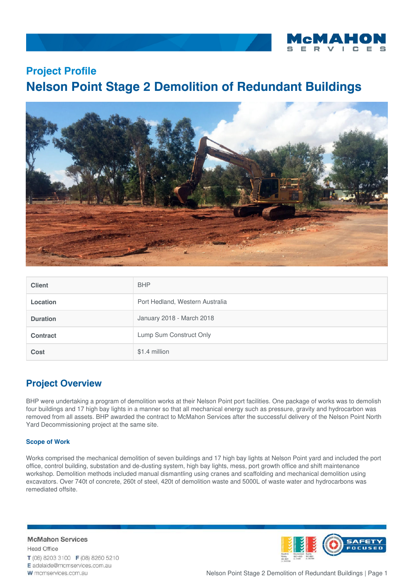

## **Project Profile Nelson Point Stage 2 Demolition of Redundant Buildings**



| <b>Client</b>   | <b>BHP</b>                      |
|-----------------|---------------------------------|
| <b>Location</b> | Port Hedland, Western Australia |
| <b>Duration</b> | January 2018 - March 2018       |
| <b>Contract</b> | Lump Sum Construct Only         |
| Cost            | \$1.4 million                   |

## **Project Overview**

BHP were undertaking a program of demolition works at their Nelson Point port facilities. One package of works was to demolish four buildings and 17 high bay lights in a manner so that all mechanical energy such as pressure, gravity and hydrocarbon was removed from all assets. BHP awarded the contract to McMahon Services after the successful delivery of the Nelson Point North Yard Decommissioning project at the same site.

## **Scope of Work**

Works comprised the mechanical demolition of seven buildings and 17 high bay lights at Nelson Point yard and included the port office, control building, substation and de-dusting system, high bay lights, mess, port growth office and shift maintenance workshop. Demolition methods included manual dismantling using cranes and scaffolding and mechanical demolition using excavators. Over 740t of concrete, 260t of steel, 420t of demolition waste and 5000L of waste water and hydrocarbons was remediated offsite.

**McMahon Services Head Office** T (08) 8203 3100 F (08) 8260 5210 E adelaide@mcmservices.com.au W mcmservices.com.au